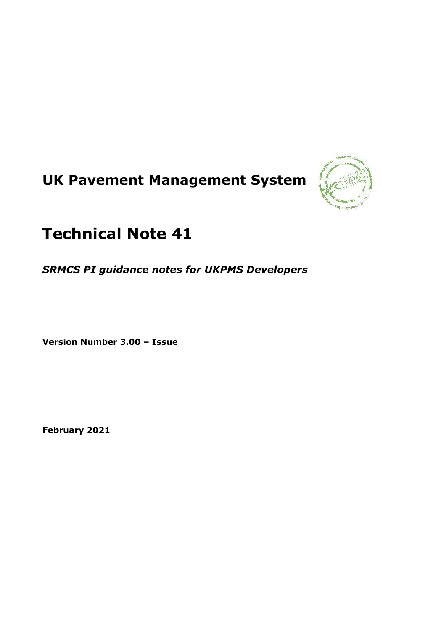# **UK Pavement Management System**



## **Technical Note 41**

*SRMCS PI guidance notes for UKPMS Developers*

**Version Number 3.00 – Issue**

**February 2021**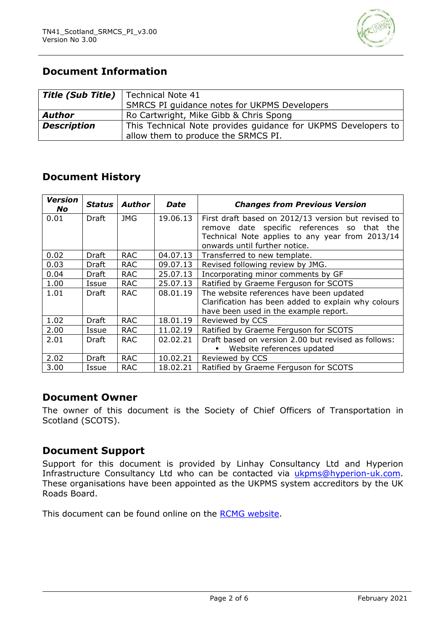

### **Document Information**

| <b>Title (Sub Title)</b> | Technical Note 41                                             |
|--------------------------|---------------------------------------------------------------|
|                          | SMRCS PI guidance notes for UKPMS Developers                  |
| <b>Author</b>            | Ro Cartwright, Mike Gibb & Chris Spong                        |
| <b>Description</b>       | This Technical Note provides guidance for UKPMS Developers to |
|                          | allow them to produce the SRMCS PI.                           |

#### **Document History**

| <b>Version</b><br>No. | <b>Status</b> | Author     | <b>Date</b> | <b>Changes from Previous Version</b>                |
|-----------------------|---------------|------------|-------------|-----------------------------------------------------|
| 0.01                  | Draft         | JMG        | 19.06.13    | First draft based on 2012/13 version but revised to |
|                       |               |            |             | remove date specific references so that the         |
|                       |               |            |             | Technical Note applies to any year from 2013/14     |
|                       |               |            |             | onwards until further notice.                       |
| 0.02                  | Draft         | <b>RAC</b> | 04.07.13    | Transferred to new template.                        |
| 0.03                  | Draft         | <b>RAC</b> | 09.07.13    | Revised following review by JMG.                    |
| 0.04                  | Draft         | <b>RAC</b> | 25,07.13    | Incorporating minor comments by GF                  |
| 1.00                  | Issue         | <b>RAC</b> | 25.07.13    | Ratified by Graeme Ferguson for SCOTS               |
| 1.01                  | Draft         | <b>RAC</b> | 08.01.19    | The website references have been updated            |
|                       |               |            |             | Clarification has been added to explain why colours |
|                       |               |            |             | have been used in the example report.               |
| 1.02                  | Draft         | <b>RAC</b> | 18.01.19    | Reviewed by CCS                                     |
| 2.00                  | Issue         | <b>RAC</b> | 11.02.19    | Ratified by Graeme Ferguson for SCOTS               |
| 2.01                  | Draft         | <b>RAC</b> | 02.02.21    | Draft based on version 2.00 but revised as follows: |
|                       |               |            |             | Website references updated                          |
| 2.02                  | Draft         | <b>RAC</b> | 10.02.21    | Reviewed by CCS                                     |
| 3.00                  | Issue         | <b>RAC</b> | 18.02.21    | Ratified by Graeme Ferguson for SCOTS               |

#### **Document Owner**

The owner of this document is the Society of Chief Officers of Transportation in Scotland (SCOTS).

#### **Document Support**

Support for this document is provided by Linhay Consultancy Ltd and Hyperion Infrastructure Consultancy Ltd who can be contacted via [ukpms@hyperion-uk.com.](mailto:ukpms@hyperion-uk.com) These organisations have been appointed as the UKPMS system accreditors by the UK Roads Board.

This document can be found online on the [RCMG website.](https://www.ciht.org.uk/ukrlg-home/guidance/road-condition-information/data-management/uk-pavement-management-system-ukpms/)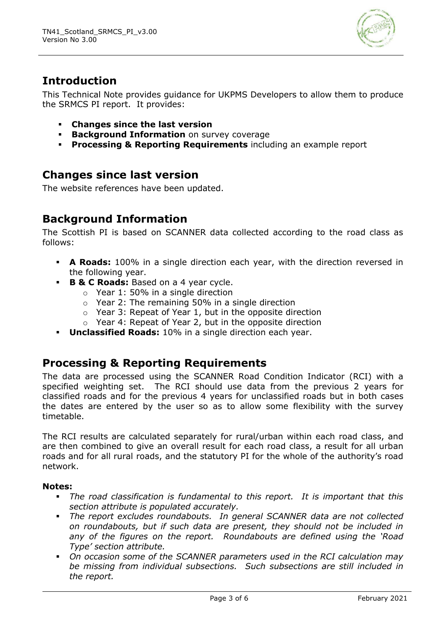

## **Introduction**

This Technical Note provides guidance for UKPMS Developers to allow them to produce the SRMCS PI report. It provides:

- **Changes since the last version**
- **Background Information** on survey coverage
- **Processing & Reporting Requirements** including an example report

### **Changes since last version**

The website references have been updated.

## **Background Information**

The Scottish PI is based on SCANNER data collected according to the road class as follows:

- **A Roads:** 100% in a single direction each year, with the direction reversed in the following year.
- **B & C Roads:** Based on a 4 year cycle.
	- o Year 1: 50% in a single direction
	- o Year 2: The remaining 50% in a single direction
	- o Year 3: Repeat of Year 1, but in the opposite direction
	- $\circ$  Year 4: Repeat of Year 2, but in the opposite direction
- **Unclassified Roads:** 10% in a single direction each year.

### **Processing & Reporting Requirements**

The data are processed using the SCANNER Road Condition Indicator (RCI) with a specified weighting set. The RCI should use data from the previous 2 years for classified roads and for the previous 4 years for unclassified roads but in both cases the dates are entered by the user so as to allow some flexibility with the survey timetable.

The RCI results are calculated separately for rural/urban within each road class, and are then combined to give an overall result for each road class, a result for all urban roads and for all rural roads, and the statutory PI for the whole of the authority's road network.

#### **Notes:**

- *The road classification is fundamental to this report. It is important that this section attribute is populated accurately.*
- *The report excludes roundabouts. In general SCANNER data are not collected on roundabouts, but if such data are present, they should not be included in any of the figures on the report. Roundabouts are defined using the 'Road Type' section attribute.*
- *On occasion some of the SCANNER parameters used in the RCI calculation may be missing from individual subsections. Such subsections are still included in the report.*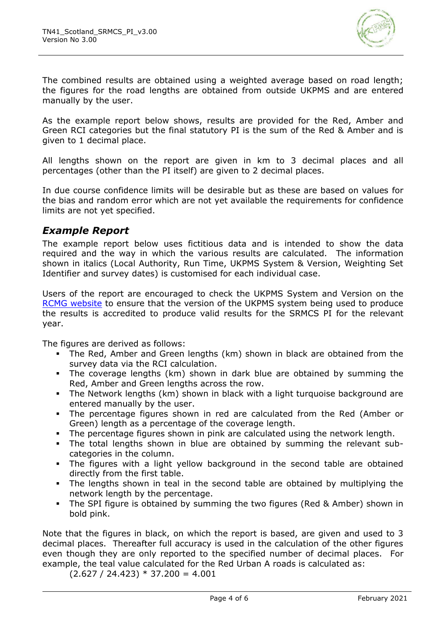

The combined results are obtained using a weighted average based on road length; the figures for the road lengths are obtained from outside UKPMS and are entered manually by the user.

As the example report below shows, results are provided for the Red, Amber and Green RCI categories but the final statutory PI is the sum of the Red & Amber and is given to 1 decimal place.

All lengths shown on the report are given in km to 3 decimal places and all percentages (other than the PI itself) are given to 2 decimal places.

In due course confidence limits will be desirable but as these are based on values for the bias and random error which are not yet available the requirements for confidence limits are not yet specified.

#### *Example Report*

The example report below uses fictitious data and is intended to show the data required and the way in which the various results are calculated. The information shown in italics (Local Authority, Run Time, UKPMS System & Version, Weighting Set Identifier and survey dates) is customised for each individual case.

Users of the report are encouraged to check the UKPMS System and Version on the [RCMG website](https://www.ciht.org.uk/ukrlg-home/guidance/road-condition-information/data-management/uk-pavement-management-system-ukpms/) to ensure that the version of the UKPMS system being used to produce the results is accredited to produce valid results for the SRMCS PI for the relevant year.

The figures are derived as follows:

- The Red, Amber and Green lengths (km) shown in black are obtained from the survey data via the RCI calculation.
- The coverage lengths (km) shown in dark blue are obtained by summing the Red, Amber and Green lengths across the row.
- The Network lengths (km) shown in black with a light turquoise background are entered manually by the user.
- The percentage figures shown in red are calculated from the Red (Amber or Green) length as a percentage of the coverage length.
- The percentage figures shown in pink are calculated using the network length.
- The total lengths shown in blue are obtained by summing the relevant subcategories in the column.
- The figures with a light yellow background in the second table are obtained directly from the first table.
- The lengths shown in teal in the second table are obtained by multiplying the network length by the percentage.
- The SPI figure is obtained by summing the two figures (Red & Amber) shown in bold pink.

Note that the figures in black, on which the report is based, are given and used to 3 decimal places. Thereafter full accuracy is used in the calculation of the other figures even though they are only reported to the specified number of decimal places. For example, the teal value calculated for the Red Urban A roads is calculated as:

 $(2.627 / 24.423) * 37.200 = 4.001$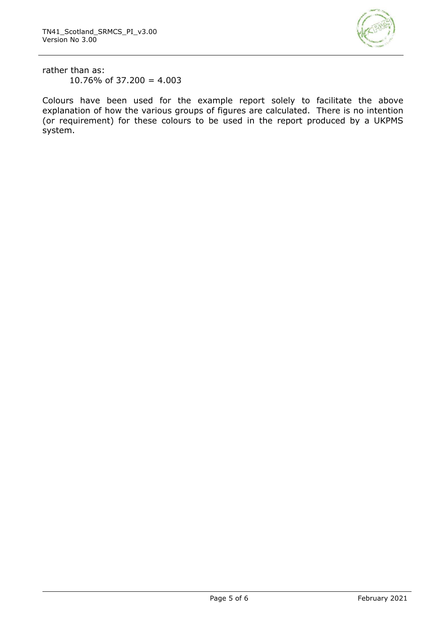

rather than as: 10.76% of 37.200 =  $4.003$ 

Colours have been used for the example report solely to facilitate the above explanation of how the various groups of figures are calculated. There is no intention (or requirement) for these colours to be used in the report produced by a UKPMS system.